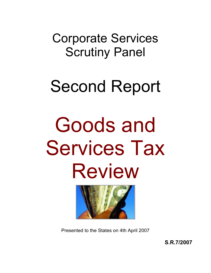Corporate Services Scrutiny Panel

## Second Report

# Goods and Services Tax Review



Presented to the States on 4th April 2007

**S.R.7/2007**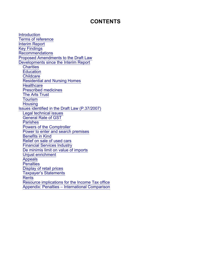#### **CONTENTS**

**Introduction** Terms of reference Interim Report Key Findings **Recommendations** Proposed Amendments to the Draft Law Developments since the Interim Report **Charities Education Childcare** Residential and Nursing Homes **Healthcare** Prescribed medicines The Arts Trust **Tourism Housing** Issues identified in the Draft Law (P.37/2007) Legal technical issues General Rate of GST Parishes Powers of the Comptroller Power to enter and search premises Benefits in Kind Relief on sale of used cars Financial Services Industry De minimis limit on value of imports Unjust enrichment Appeals **Penalties** Display of retail prices Taxpayer's Statements Rents Resource implications for the Income Tax office Appendix: Penalties – International Comparison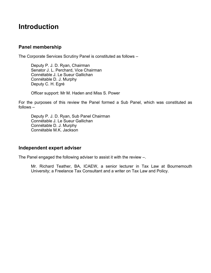### **Introduction**

#### **Panel membership**

The Corporate Services Scrutiny Panel is constituted as follows –

Deputy P. J. D. Ryan, Chairman Senator J. L. Perchard, Vice Chairman Connétable J. Le Sueur Gallichan Connétable D. J. Murphy Deputy C. H. Egré

Officer support: Mr M. Haden and Miss S. Power

For the purposes of this review the Panel formed a Sub Panel, which was constituted as follows –

Deputy P. J. D. Ryan, Sub Panel Chairman Connétable J. Le Sueur Gallichan Connétable D. J. Murphy Connétable M.K. Jackson

#### **Independent expert adviser**

The Panel engaged the following adviser to assist it with the review –.

Mr. Richard Teather, BA, ICAEW, a senior lecturer in Tax Law at Bournemouth University; a Freelance Tax Consultant and a writer on Tax Law and Policy.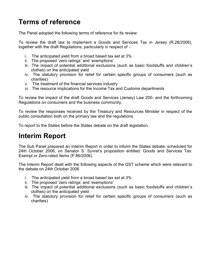## **Terms of reference**

The Panel adopted the following terms of reference for its review:

To review the draft law to implement a Goods and Services Tax in Jersey (R.28/2006), together with the draft Regulations, particularly in respect of -

- i. The anticipated yield from a broad based tax set at 3%
- ii. The proposed 'zero ratings' and 'exemptions'
- iii. The impact of potential additional exclusions (such as basic foodstuffs and children's clothes) on the anticipated yield
- iv. The statutory provision for relief for certain specific groups of consumers (such as charities)
- v. The treatment of the financial services industry
- vi. The resource implications for the Income Tax and Customs departments

To review the impact of the draft Goods and Services (Jersey) Law 200- and the forthcoming Regulations on consumers and the business community.

To review the responses received by the Treasury and Resources Minister in respect of the public consultation both on the primary law and the regulations.

To report to the States before the States debate on the draft legislation.

## **Interim Report**

The Sub Panel prepared an Interim Report in order to inform the States debate, scheduled for 24th October 2006, on Senator S. Syvret's proposition entitled: Goods and Services Tax: Exempt or Zero-rated Items (P.86/2006).

The Interim Report dealt with the following aspects of the GST scheme which were relevant to the debate on 24th October 2006

- i. The anticipated yield from a broad based tax set at 3%
- ii. The proposed 'zero ratings' and 'exemptions'
- iii. The impact of potential additional exclusions (such as basic foodstuffs and children's clothes) on the anticipated yield
- iv. The statutory provision for relief for certain specific groups of consumers (such as charities)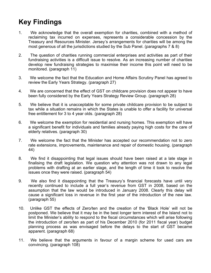## **Key Findings**

- 1. We acknowledge that the overall exemption for charities, combined with a method of reclaiming tax incurred on expenses, represents a considerable concession by the Treasury and Resources Minister. Jersey's arrangements for charities will be among the most generous of all the jurisdictions studied by the Sub Panel. (paragraphs 7 & 8)
- 2. The question of charities running commercial enterprises and activities as part of their fundraising activities is a difficult issue to resolve. As an increasing number of charities develop new fundraising strategies to maximise their income this point will need to be monitored. (paragraph 11)
- 3. We welcome the fact that the Education and Home Affairs Scrutiny Panel has agreed to review the Early Years Strategy. (paragraph 27)
- 4. We are concerned that the effect of GST on childcare provision does not appear to have been fully considered by the Early Years Strategy Review Group. (paragraph 28)
- 5. We believe that it is unacceptable for some private childcare provision to be subject to tax while a situation remains in which the States is unable to offer a facility for universal free entitlement for 3 to 4 year olds. (paragraph 28)
- 6. We welcome the exemption for residential and nursing homes. This exemption will have a significant benefit for individuals and families already paying high costs for the care of elderly relatives. (paragraph 30)
- 7. We welcome the fact that the Minister has accepted our recommendation not to zero rate extensions, improvements, maintenance and repair of domestic housing. (paragraph 44)
- 8. We find it disappointing that legal issues should have been raised at a late stage in finalising the draft legislation. We question why attention was not drawn to any legal problems with drafting at an earlier stage, and the length of time it took to resolve the issues once they were raised. (paragraph 54)
- 9. We also find it disappointing that the Treasury's financial forecasts have until very recently continued to include a full year's revenue from GST in 2008, based on the assumption that the law would be introduced in January 2008. Clearly this delay will cause a significant loss in revenue in the first year of the introduction of the new law. (paragraph 55)
- 10. Unlike GST the effects of Zero/ten and the creation of the 'Black Hole' will not be postponed. We believe that it may be in the best longer term interest of the Island not to limit the Minister's ability to respond to the fiscal circumstances which will arise following the introduction of zero/ten as part of his December 2010 (for 2011 fiscal year) budget planning process as was envisaged before the delays to the start of GST became apparent. (paragraph 68)
- 11. We believe that the arguments in favour of a margin scheme for used cars are convincing. (paragraph 108)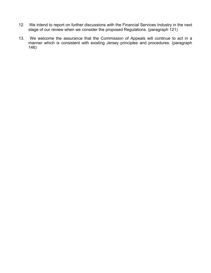- 12. We intend to report on further discussions with the Financial Services Industry in the next stage of our review when we consider the proposed Regulations. (paragraph 121)
- 13. We welcome the assurance that the Commission of Appeals will continue to act in a manner which is consistent with existing Jersey principles and procedures. (paragraph 146)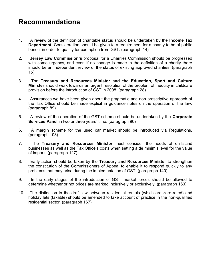## **Recommendations**

- 1. A review of the definition of charitable status should be undertaken by the **Income Tax Department**. Consideration should be given to a requirement for a charity to be of public benefit in order to qualify for exemption from GST. (paragraph 14)
- 2. **Jersey Law Commission's** proposal for a Charities Commission should be progressed with some urgency, and even if no change is made in the definition of a charity there should be an independent review of the status of existing approved charities. (paragraph 15)
- 3. The **Treasury and Resources Minister and the Education, Sport and Culture Minister** should work towards an urgent resolution of the problem of inequity in childcare provision before the introduction of GST in 2008. (paragraph 28)
- 4. Assurances we have been given about the pragmatic and non prescriptive approach of the Tax Office should be made explicit in guidance notes on the operation of the law. (paragraph 89)
- 5. A review of the operation of the GST scheme should be undertaken by the **Corporate Services Panel** in two or three years' time. (paragraph 90)
- 6. A margin scheme for the used car market should be introduced via Regulations. (paragraph 108)
- 7. The **Treasury and Resources Minister** must consider the needs of on-Island businesses as well as the Tax Office's costs when setting a de minimis level for the value of imports (paragraph 127)
- 8. Early action should be taken by the **Treasury and Resources Minister** to strengthen the constitution of the Commissioners of Appeal to enable it to respond quickly to any problems that may arise during the implementation of GST. (paragraph 140)
- 9. In the early stages of the introduction of GST, market forces should be allowed to determine whether or not prices are marked inclusively or exclusively. (paragraph 160)
- 10. The distinction in the draft law between residential rentals (which are zero-rated) and holiday lets (taxable) should be amended to take account of practice in the non-qualified residential sector. (paragraph 167)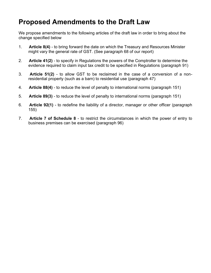## **Proposed Amendments to the Draft Law**

We propose amendments to the following articles of the draft law in order to bring about the change specified below

- 1. **Article 8(4)** to bring forward the date on which the Treasury and Resources Minister might vary the general rate of GST. (See paragraph 68 of our report)
- 2. **Article 41(2)** to specify in Regulations the powers of the Comptroller to determine the evidence required to claim input tax credit to be specified in Regulations (paragraph 91)
- 3. **Article 51(2)** to allow GST to be reclaimed in the case of a conversion of a nonresidential property (such as a barn) to residential use (paragraph 47)
- 4. **Article 88(4)** to reduce the level of penalty to international norms (paragraph 151)
- 5. **Article 89(3)** to reduce the level of penalty to international norms (paragraph 151)
- 6. **Article 92(1)** to redefine the liability of a director, manager or other officer (paragraph 155)
- 7. **Article 7 of Schedule 8** to restrict the circumstances in which the power of entry to business premises can be exercised (paragraph 96)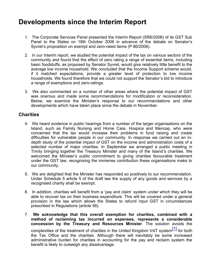## **Developments since the Interim Report**

- 1. The Corporate Services Panel presented the Interim Report (SR6/2006) of its GST Sub Panel to the States on 18th October 2006 in advance of the debate on Senator's Syvret's proposition on exempt and zero-rated items (P.86/2006).
- 2. In our Interim report, we studied the potential impact of the tax on various sectors of the community and found that the effect of zero rating a range of essential items, including basic foodstuffs, as proposed by Senator Syvret, would give relatively little benefit to the average low income household. We concluded that the Income Support scheme would, if it matched expectations, provide a greater level of protection to low income households. We found therefore that we could not support the Senator's bid to introduce a range of exemptions and zero-ratings.
- 3. We also commented on a number of other areas where the potential impact of GST was onerous and made some recommendations for modification or reconsideration. Below, we examine the Minister's response to our recommendations and other developments which have taken place since the debate in November.

#### **Charities**

- 4. We heard evidence in public hearings from a number of the larger organisations on the Island, such as Family Nursing and Home Care, Hospice and Mencap, who were concerned that the tax would increase their problems in fund raising and create difficulties for vulnerable people in our community. In response we carried out an indepth study of the potential impact of GST on the income and administration costs of a selected number of major charities. In September we arranged a public meeting in Trinity bringing together the Treasury Minister and many of the Island's charities. We welcomed the Minister's public commitment to giving charities favourable treatment under the GST law, recognising the immense contribution these organisations make to our community.
- 5. We are delighted that the Minister has responded so positively to our recommendation. Under Schedule 5 article 5 of the draft law the supply of any goods and services by a recognised charity shall be exempt.
- 6. In addition, charities will benefit from a 'pay and claim' system under which they will be able to recover tax on their business expenditure. This will be covered under a general provision in the law which allows the States to refund input GST in circumstances prescribed in Regulations (article 56).
- 7. **We acknowledge that this overall exemption for charities, combined with a method of reclaiming tax incurred on expenses, represents a considerable concession by the Treasury and Resources Minister**. The solution avoids the complexities of the treatment of charities in the United Kingdom VAT system<sup>[1]</sup> for both the Tax Office and the charities. Although there will inevitably be some increased administrative burden for charities in accounting for the pay and reclaim system the benefit is likely to outweigh any disadvantage.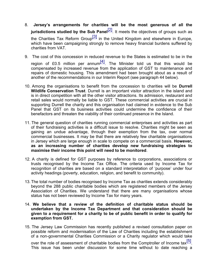- 8. **Jersey's arrangements for charities will be the most generous of all the jurisdictions studied by the Sub Panel**<sup>[2]</sup>. It meets the objectives of groups such as the Charities Tax Reform Group $\begin{bmatrix} 3 \end{bmatrix}$  in the United Kingdom and elsewhere in Europe, which have been campaigning strongly to remove heavy financial burdens suffered by charities from VAT.
- 9. The cost of this concession in reduced revenue to the States is estimated to be in the region of £0.5 million per annum<sup>[4]</sup>. The Minister told us that this would be compensated by increased revenue from the application of GST to maintenance and repairs of domestic housing. This amendment had been brought about as a result of another of the recommendations in our Interim Report (see paragraph 44 below).
- 10. Among the organisations to benefit from the concession to charities will be **Durrell Wildlife Conservation Trust**. Durrell is an important visitor attraction in the island and is in direct competition with all the other visitor attractions. Its admission, restaurant and retail sales would normally be liable to GST. These commercial activities are crucial in supporting Durrell the charity and this organisation had claimed in evidence to the Sub Panel that GST on its business activities could undermine the confidence of their benefactors and threaten the viability of their continued presence in the Island.
- 11. The general question of charities running commercial enterprises and activities as part of their fundraising activities is a difficult issue to resolve. Charities might be seen as gaining an undue advantage, through their exemption from the tax, over normal commercial businesses. It may be that there are relatively few charitable organisations in Jersey which are large enough in scale to compete on a commercial basis. **However, as an increasing number of charities develop new fundraising strategies to maximise their income this point will need to be monitored**.
- 12. A charity is defined for GST purposes by reference to corporations, associations or trusts recognised by the Income Tax Office. The criteria used by Income Tax for recognition of charities are based on a standard interpretation of 'purpose' under four activity headings (poverty, education, religion, and benefit to community).
- 13. The total number of bodies recognised by Income Tax as charities extends considerably beyond the 288 public charitable bodies which are registered members of the Jersey Association of Charities. We understand that there are many organisations whose status has not been reviewed by Income Tax for many years.
- 14. **We believe that a review of the definition of charitable status should be undertaken by the Income Tax Department and that consideration should be given to a requirement for a charity to be of public benefit in order to qualify for exemption from GST.**
- 15. The Jersey Law Commission has recently published a revised consultation paper on possible reform and modernisation of the Law of Charities including the establishment of a non-governmental Charities Commission or a Charity regulator which would take

over the role of assessment of charitable bodies from the Comptroller of Income tax $^{[5]}$ . This issue has been under discussion for some time without to date reaching a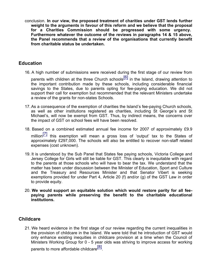conclusion. **In our view, the proposed treatment of charities under GST lends further weight to the arguments in favour of this reform and we believe that the proposal for a Charities Commission should be progressed with some urgency. Furthermore whatever the outcome of the reviews in paragraphs 14 & 15 above, the Panel recommends that a review of the organisations that currently benefit from charitable status be undertaken.**

#### **Education**

- 16. A high number of submissions were received during the first stage of our review from parents with children at the three Church schools $\left[6\right]$  in the Island, drawing attention to the important contribution made by these schools, including considerable financial savings to the States, due to parents opting for fee-paying education. We did not support their call for exemption but recommended that the relevant Ministers undertake a review of the grants for non-states Schools.
- 17.As a consequence of the exemption of charities the Island's fee-paying Church schools, as well as other institutions registered as charities, including St George's and St Michael's, will now be exempt from GST. Thus, by indirect means, the concerns over the impact of GST on school fees will have been resolved.
- 18. Based on a combined estimated annual fee income for 2007 of approximately £9.9 million $\begin{bmatrix} 7 \end{bmatrix}$  this exemption will mean a gross loss of 'output' tax to the States of approximately £297,000. The schools will also be entitled to recover non-staff related expenses (cost unknown).
- 19. It is understood by the Sub Panel that States fee paying schools, Victoria College and Jersey College for Girls will still be liable for GST. This clearly is inequitable with regard to the parents at those schools who will have to bear the tax. We understand that the matter has been under discussion between the Minister of Education, Sport and Culture and the Treasury and Resources Minister and that Senator Vibert is seeking exemptions provided for under Part 4, Article 20 (f) and/or (g) of the GST Law in order to provide equity.
- 20. **We would support an equitable solution which would restore parity for all feepaying parents while preserving the benefit to the charitable educational institutions.**

#### **Childcare**

21. We heard evidence in the first stage of our review regarding the current inequalities in the provision of childcare in the Island. We were told that he introduction of GST would only enhance existing inequities in childcare provision at a time when the Council of Ministers Working Group for 0 - 5 year olds was striving to improve access for working

parents to more affordable childcare<sup>[8]</sup>.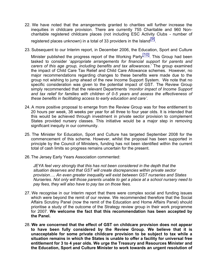- 22. We have noted that the arrangements granted to charities will further increase the inequities in childcare provision. There are currently 755 Charitable and 960 Noncharitable registered childcare places (not including ESC Activity Clubs - number of registered places unknown) in a total of 33 providers in the Island $\overline{[9]}$ .
- 23. Subsequent to our Interim report, in December 2006, the Education, Sport and Culture

Minister published the progress report of the Working Party<sup>[10]</sup>. This Group had been tasked to consider '*appropriate arrangements for financial support for parents and carers of this age group, including benefits and tax allowances*.' The group examined the impact of Child Care Tax Relief and Child Care Allowance schemes. However, no major recommendations regarding changes to these benefits were made due to the group not wishing to jump ahead of the new Income Support System. We note that no specific consideration was given to the potential impact of GST. The Review Group simply recommended that the relevant Departments '*monitor impact of Income Support and tax relief for families with children of 0-5 years and assess the effectiveness of these benefits in facilitating access to early education and care'*.

- 24. A more positive proposal to emerge from the Review Group was for free entitlement to 20 hours per week, 38 weeks per year for all three to four year olds. It is intended that this would be achieved through investment in private sector provision to complement States provided nursery classes. This initiative would be a major step in removing significant inequity in our community.
- 25. The Minister for Education, Sport and Culture has targeted September 2008 for the commencement of this scheme. However, whilst the proposal has been supported in principle by the Council of Ministers, funding has not been identified within the current total of cash limits so progress remains uncertain for the present.
- 26. The Jersey Early Years Association commented:

*JEYA feel very strongly that this has not been considered in the depth that the situation deserves and that GST will create discrepancies within private sector provision…. An even greater inequality will exist between GST nurseries and States Nurseries. Not only will those parents unable to get a place at a school nursery need to pay fees, they will also have to pay tax on those fees.*

- 27. We recognise in our Interim report that there were complex social and funding issues which were beyond the remit of our review. We recommended therefore that the Social Affairs Scrutiny Panel (now the remit of the Education and Home Affairs Panel) should prioritise a study of the outcome of the Strategy review group in their work programme for 2007. **We welcome the fact that this recommendation has been accepted by the Panel.**
- 28. **We are concerned that the effect of GST on childcare provision does not appear to have been fully considered by the Review Group. We believe that it is unacceptable for some private childcare provision to be subject to tax while a situation remains in which the States is unable to offer a facility for universal free entitlement for 3 to 4 year olds. We urge the Treasury and Resources Minister and the Education, Sport and Culture Minister to work towards an urgent resolution of**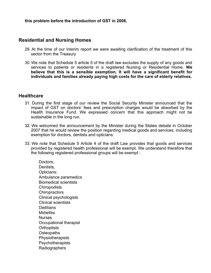**this problem before the introduction of GST in 2008.**

#### **Residential and Nursing Homes**

- 29. At the time of our Interim report we were awaiting clarification of the treatment of this sector from the Treasury
- 30. We note that Schedule 5 article 5 of the draft law excludes the supply of any goods and services to patients or residents in a registered Nursing or Residential Home. **We believe that this is a sensible exemption. It will have a significant benefit for individuals and families already paying high costs for the care of elderly relatives.**

#### **Healthcare**

- 31. During the first stage of our review the Social Security Minister announced that the impact of GST on doctors' fees and prescription charges would be absorbed by the Health Insurance Fund. We expressed concern that this approach might not be sustainable in the long run.
- 32. We welcomed the announcement by the Minister during the States debate in October 2007 that he would review the position regarding medical goods and services, including exemption for doctors, dentists and opticians.
- 33. We note that Schedule 5 Article 4 of the draft Law provides that goods and services provided by registered health professional will be exempt. We understand therefore that the following registered professional groups will be exempt :

 Doctors, Dentists, Opticians: Ambulance paramedics Biomedical scientists **Chiropodists Chiropractors**  Clinical psychologists Clinical scientists **Dietitians**  Midwifes Nurses Occupational therapist **Orthoptists Osteopaths Physiotherapists Psychotherapists** Radiographers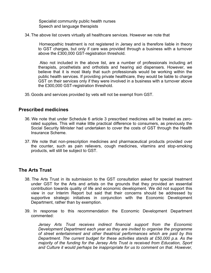Specialist community public health nurses Speech and language therapists

34. The above list covers virtually all healthcare services. However we note that

 Homeopathic treatment is not registered in Jersey and is therefore liable in theory to GST charges, but only if care was provided through a business with a turnover above the £300,000 GST-registration threshold.

 Also not included in the above list, are a number of professionals including art therapists, prosthetists and orthotists and hearing aid dispensers. However, we believe that it is most likely that such professionals would be working within the public health services. If providing private healthcare, they would be liable to charge GST on their services only if they were involved in a business with a turnover above the £300,000 GST-registration threshold.

35.Goods and services provided by vets will not be exempt from GST.

#### **Prescribed medicines**

- 36. We note that under Schedule 6 article 3 prescribed medicines will be treated as zerorated supplies. This will make little practical difference to consumers, as previously the Social Security Minister had undertaken to cover the costs of GST through the Health Insurance Scheme.
- 37. We note that non-prescription medicines and pharmaceutical products provided over the counter, such as pain relievers, cough medicines, vitamins and stop-smoking products, will still be subject to GST.

#### **The Arts Trust**

- 38. The Arts Trust in its submission to the GST consultation asked for special treatment under GST for the Arts and artists on the grounds that they provided an essential contribution towards quality of life and economic development. We did not support this view in our Interim Report but said that their concerns should be addressed by supportive strategic initiatives in conjunction with the Economic Development Department, rather than by exemption.
- 39. In response to this recommendation the Economic Development Department commented:

*Jersey Arts Trust receives indirect financial support from the Economic Development Department each year as they are invited to organise the programme of street entertainment and other theatrical performances which are paid by this Department. The current budget for these activities stands at £50,000 p.a. As the majority of the funding for the Jersey Arts Trust is received from Education, Sport and Culture it would perhaps be inappropriate for us to comment on that. However,*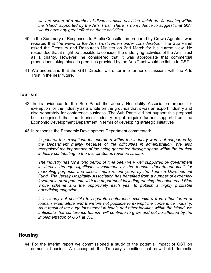*we are aware of a number of diverse artistic activities which are flourishing within the Island, supported by the Arts Trust. There is no evidence to suggest that GST would have any great effect on these activities.*

- 40. In the Summary of Responses to Public Consultation prepared by Crown Agents it was reported that *'the views of the Arts Trust remain under consideration*.' The Sub Panel asked the Treasury and Resources Minister on 2nd March for his current view. He responded that it might be possible to consider the underlying activities of the Arts Trust as a charity. However, he considered that it was appropriate that commercial productions taking place in premises provided by the Arts Trust would be liable to GST.
- 41. We understand that the GST Director will enter into further discussions with the Arts Trust in the near future.

#### **Tourism**

- 42. In its evidence to the Sub Panel the Jersey Hospitality Association argued for exemption for the industry as a whole on the grounds that it was an export industry and also separately for conference business. The Sub Panel did not support this proposal but recognised that the tourism industry might require further support from the Economic Development Department in terms of developing strategic initiatives
- 43. In response the Economic Development Department commented:

*In general the exceptions for operators within the industry were not supported by the Department mainly because of the difficulties in administration. We also recognised the importance of tax being generated through spend within the tourism industry contributing to the overall States revenue stream.*

*The industry has for a long period of time been very well supported by government in Jersey through significant investment by the tourism department itself for marketing purposes and also in more recent years by the Tourism Development Fund. The Jersey Hospitality Association has benefited from a number of extremely favourable arrangements with the department including running the outsourced Bien V'nue scheme and the opportunity each year to publish a highly profitable advertising magazine.*

*It is clearly not possible to separate conference expenditure from other forms of tourism expenditure and therefore not possible to exempt the conference industry. As a result of the huge investment in hotels and other facilities within the island, we anticipate that conference tourism will continue to grow and not be affected by the implementation of GST at 3%.*

#### **Housing**

44. For the Interim report we commissioned a study of the potential impact of GST on domestic housing. We accepted the Treasury's position that new build domestic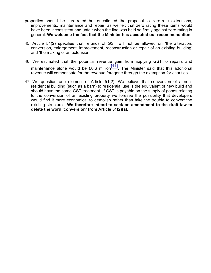- properties should be zero-rated but questioned the proposal to zero-rate extensions, improvements, maintenance and repair, as we felt that zero rating these items would have been inconsistent and unfair when the line was held so firmly against zero rating in general. **We welcome the fact that the Minister has accepted our recommendation.**
- 45. Article 51(2) specifies that refunds of GST will not be allowed on 'the alteration, conversion, enlargement, improvement, reconstruction or repair of an existing building' and 'the making of an extension'
- 46. We estimated that the potential revenue gain from applying GST to repairs and maintenance alone would be £0.6 million $\frac{[11]}{[11]}$ . The Minister said that this additional revenue will compensate for the revenue foregone through the exemption for charities.
- 47. We question one element of Article 51(2). We believe that conversion of a nonresidential building (such as a barn) to residential use is the equivalent of new build and should have the same GST treatment. If GST is payable on the supply of goods relating to the conversion of an existing property we foresee the possibility that developers would find it more economical to demolish rather than take the trouble to convert the existing structure . **We therefore intend to seek an amendment to the draft law to delete the word 'conversion' from Article 51(2)(a).**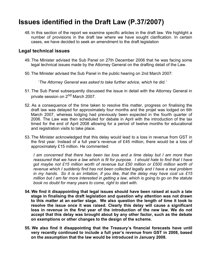## **Issues identified in the Draft Law (P.37/2007)**

48. In this section of the report we examine specific articles in the draft law. We highlight a number of provisions in the draft law where we have sought clarification. In certain cases, we have decided to seek an amendment to the draft legislation

#### **Legal technical issues**

- 49. The Minister advised the Sub Panel on 27th December 2006 that he was facing some legal technical issues made by the Attorney General on the drafting detail of the Law.
- 50. The Minister advised the Sub Panel in the public hearing on 2nd March 2007:

'*The Attorney General was asked to take further advice, which he did.'*

- 51. The Sub Panel subsequently discussed the issue in detail with the Attorney General in private session on 2<sup>nd</sup> March 2007.
- 52. As a consequence of the time taken to resolve this matter, progress on finalising the draft law was delayed for approximately four months and the projet was lodged on 6th March 2007, whereas lodging had previously been expected in the fourth quarter of 2006. The Law was then scheduled for debate in April with the introduction of the tax timed for the end of April 2008 allowing for a period of twelve months for educational and registration visits to take place.
- 53. The Minister acknowledged that this delay would lead to a loss in revenue from GST in the first year. Instead of a full year's revenue of £45 million, there would be a loss of approximately £15 million. He commented:

*I am concerned that there has been tax loss and a time delay but I am more than reassured that we have a law which is fit for purpose. I should hate to find that I have got maybe not £15 million worth of revenue but £50 million or £500 million worth of revenue which I suddenly find has not been collected legally and I have a real problem in my hands. So it is an irritation, if you like, that the delay may have cost us £15 million but I am far more interested in getting a law, which is going to go on the statute book no doubt for many years to come, right to start with.*

- **54. We find it disappointing that legal issues should have been raised at such a late stage in finalising the draft legislation and question why attention was not drawn to this matter at an earlier stage. We also question the length of time it took to resolve the issue once it was raised. Clearly this delay will cause a significant loss in revenue in the first year of the introduction of the new law. We do not accept that this delay was brought about by any other factor, such as the debate on exemptions or other changes to the design of the scheme.**
- **55. We also find it disappointing that the Treasury's financial forecasts have until very recently continued to include a full year's revenue from GST in 2008, based on the assumption that the law would be introduced in January 2008.**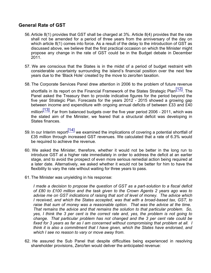#### **General Rate of GST**

- 56.Article 8(1) provides that GST shall be charged at 3%. Article 8(4) provides that the rate shall not be amended for a period of three years from the anniversary of the day on which article 8(1) comes into force. As a result of the delay to the introduction of GST as discussed above, we believe that the first practical occasion on which the Minister might propose any change in the rate of GST could be in the Budget debate in December 2011.
- 57. We are conscious that the States is in the midst of a period of budget restraint with considerable uncertainty surrounding the island's financial position over the next few years due to the 'Black Hole' created by the move to zero/ten taxation.
- 58. The Corporate Services Panel drew attention in 2006 to the problem of future revenue

shortfalls in its report on the Financial Framework of the States Strategic Plan<sup>[12]</sup>. The Panel asked the Treasury then to provide indicative figures for the period beyond the five year Strategic Plan. Forecasts for the years 2012 - 2015 showed a growing gap between income and expenditure with ongoing annual deficits of between £33 and £40 million $\frac{[13]}{[13]}$ . Far from balanced budgets over the five year period 2006 - 2011, which was the stated aim of the Minister, we feared that a structural deficit was developing in States finances.

- 59. In our Interim report<sup>[14]</sup> we examined the implications of covering a potential shortfall of £35 million through increased GST revenues. We calculated that a rate of 6.3% would be required to achieve the revenue.
- 60. We asked the Minister, therefore, whether it would not be better in the long run to introduce GST at a higher rate immediately in order to address the deficit at an earlier stage, and to avoid the prospect of even more serious remedial action being required at a later date. Alternatively, we asked whether it would not be better for him to have the flexibility to vary the rate without waiting for three years to pass.
- 61. The Minister was unyielding in his response:

*I made a decision to propose the question of GST as a part-solution to a fiscal deficit of £80 to £100 million and the task given to the Crown Agents 2 years ago was to advise me on GST indications of raising that sort of level of money. The advice which I received, and which the States accepted, was that with a broad-based tax, GST, to raise that sum of money was a reasonable option. That was the advice at the time. That remains the advice and that remains the solution to that particular problem. So, yes, I think the 3 per cent is the correct rate and, yes, the problem is not going to change. That particular problem has not changed and the 3 per cent rate could be fixed for 3 years as far as I am concerned without compromising that problem at all. I think it is also a commitment that I have given, which the States have endorsed, and which I see no reason to vary or move away from.*

62. He assured the Sub Panel that despite difficulties being experienced in resolving shareholder provisions, Zero/ten would deliver the anticipated revenue: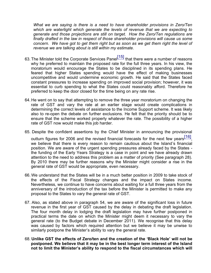*What we are saying is there is a need to have shareholder provisions in Zero/Ten which are watertight which generate the levels of revenue that we are expecting to generate and those projections are still on target. How the Zero/Ten regulations are finally drafted in the law in respect of those shareholder provisions will cause us some concern. We have got to get them right but as soon as we get them right the level of revenue we are talking about is still within my estimate.*

- 63. The Minister told the Corporate Services Panel<sup>[15]</sup> that there were a number of reasons why he preferred to maintain the proposed rate for the full three years. In his view, the moratorium would encourage the States to be disciplined in its spending plans. He feared that higher States spending would have the effect of making businesses uncompetitive and would undermine economic growth. He said that the States faced constant pressures to increase spending on improved social provision; however, it was essential to curb spending to what the States could reasonably afford. Therefore he preferred to keep the door closed for the time being on any rate rise.
- 64. He went on to say that attempting to remove the three year moratorium on changing the rate of GST and vary the rate at an earlier stage would create complications in determining the correct levels of assistance to the Income Support scheme. It was likely also to re-open the debate on further exclusions. He felt that the priority should be to ensure that the scheme worked properly whatever the rate. The possibility of a higher rate of GST now would make this job harder.
- 65. Despite the confident assertions by the Chief Minister in announcing the provisional outturn figures for 2006 and the revised financial forecasts for the next few years $^{[16]}$ , we believe that there is every reason to remain cautious about the Island's financial position. We are aware of the urgent spending pressures already faced by the States the funding of the Early Years Strategy is a case in point and we have already drawn attention to the need to address this problem as a matter of priority (See paragraph 28). By 2010 there may be further reasons why the Minister might consider a rise in the general rate of GST would be appropriate, even necessary.
- 66. We understand that the States will be in a much better position in 2009 to take stock of the effects of the Fiscal Strategy changes and the impact on States income. Nevertheless, we continue to have concerns about waiting for a full three years from the anniversary of the introduction of the tax before the Minister is permitted to make any proposal to the States to vary the general rate of GST.
- 67. Also, as stated above in paragraph 54, we are aware of the significant loss in future revenue in the first year of GST caused by the delay in debating the draft legislation. The four month delay in lodging the draft legislation may have further postponed in practical terms the date on which the Minister might deem it necessary to vary the general rate (to the Budget debate in December 2011). We recognise that this delay was caused by factors which required attention but we believe it may be unwise to similarly postpone the Minister's ability to vary the general rate.
- 68. **Unlike GST the effects of Zero/ten and the creation of the 'Black Hole' will not be postponed. We believe that it may be in the best longer term interest of the Island not to limit the Minister's ability to respond to the fiscal circumstances which will**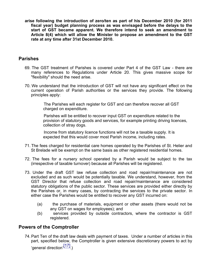**arise following the introduction of zero/ten as part of his December 2010 (for 2011 fiscal year) budget planning process as was envisaged before the delays to the start of GST became apparent. We therefore intend to seek an amendment to Article 8(4) which will allow the Minister to propose an amendment to the GST rate at any time after 31st December 2010.**

#### **Parishes**

- 69. The GST treatment of Parishes is covered under Part 4 of the GST Law there are many references to Regulations under Article 20. This gives massive scope for "flexibility" should the need arise.
- 70. We understand that the introduction of GST will not have any significant effect on the current operation of Parish authorities or the services they provide. The following principles apply:

 The Parishes will each register for GST and can therefore recover all GST charged on expenditure.

 Parishes will be entitled to recover input GST on expenditure related to the provision of statutory goods and services, for example printing driving licences, collection of stray dogs.

 Income from statutory licence functions will not be a taxable supply. It is expected that this would cover most Parish income, including rates.

- 71. The fees charged for residential care homes operated by the Parishes of St. Helier and St Brelade will be exempt on the same basis as other registered residential homes.
- 72. The fees for a nursery school operated by a Parish would be subject to the tax (irrespective of taxable turnover) because all Parishes will be registered.
- 73. Under the draft GST law refuse collection and road repair/maintenance are not excluded and as such would be potentially taxable. We understand, however, from the GST Director that refuse collection and road repair/maintenance are considered statutory obligations of the public sector. These services are provided either directly by the Parishes or, in many cases, by contracting the services to the private sector. In either case the Parishes would be entitled to recover any GST incurred on:
	- (a) the purchase of materials, equipment or other assets (there would not be any GST on wages for employees); and
	- (b) services provided by outside contractors, where the contractor is GST registered.

#### **Powers of the Comptroller**

74.Part Ten of the draft law deals with payment of taxes. Under a number of articles in this part, specified below, the Comptroller is given extensive discretionary powers to act by 'general direction'<sup>[17]</sup>)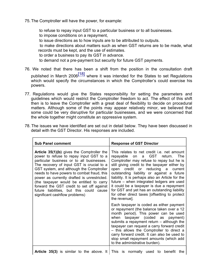75. The Comptroller will have the power, for example:

to refuse to repay input GST to a particular business or to all businesses.

to impose conditions on a repayment,

to issue directions as to how inputs are to be attributed to outputs.

 to make directions about matters such as when GST returns are to be made, what records must be kept, and the use of estimates.

to order a business to pay its GST in advance.

to demand not a pre-payment but security for future GST payments.

- 76. We noted that there has been a shift from the position in the consultation draft published in March 2006<sup>[18]</sup> where it was intended for the States to set Regulations which would specify the circumstances in which the Comptroller's could exercise his powers.
- 77. Regulations would give the States responsibility for setting the parameters and guidelines which would restrict the Comptroller freedom to act. The effect of this shift then is to leave the Comptroller with a great deal of flexibility to decide on procedural matters. Although some of the points may appear relatively minor, we believed that some could be very disruptive for particular businesses, and we were concerned that the whole together might constitute an oppressive system.
- 78. The issues we have identified are set out in detail below. They have been discussed in detail with the GST Director. His responses are included.

| <b>Sub Panel comment</b>                                                                                                                                                                                                                                                                                                                                                                                                                                                                               | <b>Response of GST Director</b>                                                                                                                                                                                                                                                                                                                                                                                                                                                                                                              |  |  |  |
|--------------------------------------------------------------------------------------------------------------------------------------------------------------------------------------------------------------------------------------------------------------------------------------------------------------------------------------------------------------------------------------------------------------------------------------------------------------------------------------------------------|----------------------------------------------------------------------------------------------------------------------------------------------------------------------------------------------------------------------------------------------------------------------------------------------------------------------------------------------------------------------------------------------------------------------------------------------------------------------------------------------------------------------------------------------|--|--|--|
| <b>Article 35(1)(b)</b> gives the Comptroller the<br>power to refuse to repay input GST to a<br>particular business or to all businesses.<br>The recovery of input GST is crucial to a<br>GST system, and although the Comptroller<br>needs to have powers to combat fraud, this<br>power as currently drafted is unrestricted.<br>(the taxpayer would be entitled to carry<br>forward the GST credit to set off against<br>future liabilities, but this could cause<br>significant cashflow problems) | This relates to net credit <i>i.e.</i> net amount<br>repayable on a GST return.<br>The<br>Comptroller may refuse to repay but he is<br>still giving credit to the taxpayer either by<br>credit or reducing a<br>open<br>current<br>outstanding liability or against a future<br>liability. It is perhaps also an Article for the<br>future – when integrated ledgers are used<br>it could be a taxpayer is due a repayment<br>for GST and yet has an outstanding liability<br>for other direct taxes [offsetting to protect<br>the revenue]. |  |  |  |
|                                                                                                                                                                                                                                                                                                                                                                                                                                                                                                        | Each taxpayer is coded as either payment<br>or repayment (the balance taken over a 12<br>month period). This power can be used<br>when taxpayer (coded as payment)<br>submits a repayment return $-$ although the<br>taxpayer can request a carry forward credit<br>- this allows the Comptroller to direct a<br>carry forward credit. It can also be used to<br>stop small repayment amounts (which add<br>to the administrative burden).                                                                                                   |  |  |  |
| <b>Article 35(3)</b> is similar to the above. It $\vert$ This is normally used to                                                                                                                                                                                                                                                                                                                                                                                                                      | the<br>benefit                                                                                                                                                                                                                                                                                                                                                                                                                                                                                                                               |  |  |  |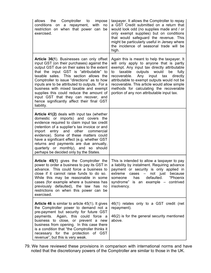| allows<br>the<br>Comptroller<br>to<br>impose<br>conditions<br>a repayment, with<br>no<br>on<br>restriction on when that power can<br>be<br>exercised.                                                                                                                                                                                                                                                                                                                                                                 | taxpayer. It allows the Comptroller to repay<br>a GST Credit submitted on a return that<br>would look odd (no supplies made and / or<br>only exempt supplies) but on conditions<br>that would safeguard the revenue. This<br>might be particularly useful in Jersey where<br>the incidence of seasonal trade will be<br>high.                                                                                                          |
|-----------------------------------------------------------------------------------------------------------------------------------------------------------------------------------------------------------------------------------------------------------------------------------------------------------------------------------------------------------------------------------------------------------------------------------------------------------------------------------------------------------------------|----------------------------------------------------------------------------------------------------------------------------------------------------------------------------------------------------------------------------------------------------------------------------------------------------------------------------------------------------------------------------------------------------------------------------------------|
| Article 36(1). Businesses can only offset<br>input GST (on their purchases) against the<br>output GST due on their sales to the extent<br>that the input GST is "attributable" to<br>taxable sales. This section allows the<br>Comptroller to issue "directions" as to how<br>inputs are to be attributed to outputs. For a<br>business with mixed taxable and exempt<br>supplies this could reduce the amount of<br>input GST that they can recover, and<br>hence significantly affect their final GST<br>liability. | Again this is meant to help the taxpayer. It<br>will only apply to anyone that is partly<br>exempt. Any input tax directly attributable<br>taxable<br>outputs<br>would<br>be<br>fully<br>to<br>recoverable.<br>directly<br>Any<br>input<br>tax<br>attributable to exempt outputs would not be<br>recoverable. This article would allow simple<br>methods for calculating the recoverable<br>portion of any non attributable input tax. |
| Article 41(2) deals with input tax (whether<br>domestic or imports) and covers the<br>evidence required to claim input tax credit<br>(retention of a supplier's tax invoice or and<br>import entry and other<br>commercial<br>evidence). Some of these matters could<br>have a significant effect (e.g. whether GST<br>returns and payments are due annually,<br>quarterly or monthly), and so should<br>perhaps be decided only by the States.                                                                       |                                                                                                                                                                                                                                                                                                                                                                                                                                        |
| Article 45(1) gives the Comptroller the<br>power to order a business to pay its GST in<br>advance. This could force a business to<br>close if it cannot raise funds to do so.<br>While this may be reasonable in some<br>cases (for example where a business has<br>previously defaulted), the law has<br>no<br>restrictions on when this power can be<br>exercised.                                                                                                                                                  | This is intended to allow a taxpayer to pay<br>a liability by instalment. Requiring advance<br>payment or security is only applied in<br>extreme<br>cases $-$ not just<br>because<br>has<br>defaulted.<br>"Phoenix<br>someone<br>syndrome" is an example - contrived<br>insolvency.                                                                                                                                                    |
| <b>Article 46</b> is similar to article 45(1). It gives<br>the Comptroller power to demand not a<br>pre-payment but security for future GST<br>payments. Again, this could force a<br>business to close, or prevent a new<br>business from opening. In this case there<br>is a condition that "the Comptroller thinks it<br>necessary for the protection of GST<br>revenue", but this is very weak.                                                                                                                   | 46(1) relates only to a GST credit (net<br>repayment).<br>46(2) is for the general security mentioned<br>above.                                                                                                                                                                                                                                                                                                                        |

79. We have reviewed these provisions in comparison with international norms and have noted that the discretionary powers of the Comptroller are similar to those in the UK.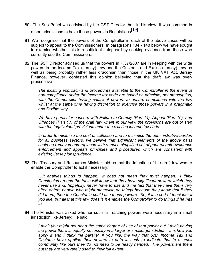- 80. The Sub Panel was advised by the GST Director that, in his view, it was common in other jurisdictions to have these powers in Regulations<sup>[19]</sup>.
- 81. We recognise that the powers of the Comptroller in each of the above cases will be subject to appeal to the Commissioners. In paragraphs 134 - 148 below we have sought to examine whether this is a sufficient safeguard by seeking evidence from those who currently use the Commissioners.
- 82. The GST Director advised us that the powers in P.37/2007 are in keeping with the wide powers in the Income Tax (Jersey) Law and the Customs and Excise (Jersey) Law as well as being probably rather less draconian than those in the UK VAT Act. Jersey Finance, however, contested this opinion believing that the draft law was overprescriptive :

*The existing approach and procedures available to the Comptroller in the event of non-compliance under the income tax code are based on principle, not prescription, with the Comptroller having sufficient powers to ensure compliance with the law whilst at the same time having discretion to exercise those powers in a pragmatic and flexible way.*

*We have particular concern with Failure to Comply (Part 14), Appeal (Part 16), and Offences (Part 17) of the draft law where in our view the provisions are out of step with the 'equivalent' provisions under the existing income tax code.*

*In order to minimise the cost of collection and to minimise the administrative burden for all business sectors, we believe that significant elements of the above parts could be removed and replaced with a much simplified set of general anti-avoidance enforcement and appeals principles and procedures which are consistent with existing Jersey jurisprudence.*

83. The Treasury and Resources Minister told us that the intention of the draft law was to enable the Comptroller to act if necessary:

*…it enables things to happen. It does not mean they must happen. I think Constables around the table will know that they have significant powers which they never use and, hopefully, never have to use and the fact that they have them very often deters people who might otherwise do things because they know that if they did them, then the Constable could use those powers. So, it is a sort of tensioner if you like, but all that this law does is it enables the Comptroller to do things if he has to*.

84. The Minister was asked whether such far reaching powers were necessary in a small jurisdiction like Jersey: He said

*I think you might not need the same degree of use of that power but I think having the power there is equally necessary in a larger or smaller jurisdiction. It is how you apply it and I think the parallel, if you like, the way that both Income Tax and Customs have applied their powers to date is such to indicate that in a small community like ours they do not need to be heavy handed. The powers are there but they are very rarely used to their full extent.*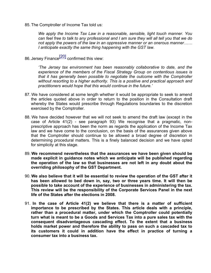85. The Comptroller of Income Tax told us:

*We apply the Income Tax Law in a reasonable, sensible, light touch manner. You can feel free to talk to any professional and I am sure they will all tell you that we do not apply the powers of the law in an oppressive manner or an onerous manner…… I anticipate exactly the same thing happening with the GST law.*

86. Jersey Finance<sup>[20]</sup> confirmed this view:

*'The Jersey tax environment has been reasonably collaborative to date, and the experience of the members of the Fiscal Strategy Group on contentious issues is that it has generally been possible to negotiate the outcome with the Comptroller without resorting to a higher authority. This is a positive and practical approach and practitioners would hope that this would continue in the future.'*

- 87. We have considered at some length whether it would be appropriate to seek to amend the articles quoted above in order to return to the position in the Consultation draft whereby the States would prescribe through Regulations boundaries to the discretion exercised by the Comptroller.
- 88. We have decided however that we will not seek to amend the draft law (except in the case of Article 41(2) - see paragraph 93) We recognise that a pragmatic, nonprescriptive approach has been the norm as regards the application of the Income Tax law and we have come to the conclusion, on the basis of the assurances given above that the Comptroller should continue to be allowed a broad degree of discretion in determining procedural matters. This is a finely balanced decision and we have opted for simplicity at this stage.
- 89. **We recommend nevertheless that the assurances we have been given should be made explicit in guidance notes which we anticipate will be published regarding the operation of the law so that businesses are not left in any doubt about the overriding philosophy of the GST Department.**
- 90. **We also believe that it will be essential to review the operation of the GST after it has been allowed to bed down in, say, two or three years time. It will then be possible to take account of the experience of businesses in administering the tax. This review will be the responsibility of the Corporate Services Panel in the next life of the States after the elections in 2008.**
- 91. **In the case of Article 41(2) we believe that there is a matter of sufficient importance to be prescribed by the States. This article deals with a principle, rather than a procedural matter, under which the Comptroller could potentially turn what is meant to be a Goods and Services Tax into a pure sales tax with the consequent disadvantageous cascading effect. To the extent that a business holds market power and therefore the ability to pass on such a cascaded tax to its customers it could in addition have the effect in practice of turning a consumer tax into a business tax.**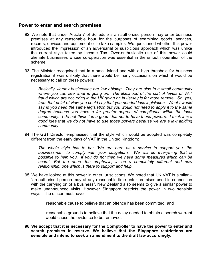#### **Power to enter and search premises**

- 92. We note that under Article 7 of Schedule 8 an authorized person may enter business premises at any reasonable hour for the purposes of examining goods, services, records, devices and equipment or to take samples. We questioned whether this power introduced the impression of an adversarial or suspicious approach which was unlike the current style taken by Income Tax. Over-enthusiastic use of this power could alienate businesses whose co-operation was essential in the smooth operation of the scheme.
- 93. The Minister recognised that in a small island and with a high threshold for business registration it was unlikely that there would be many occasions on which it would be necessary to call on these powers:

*Basically, Jersey businesses are law abiding. They are also in a small community where you can see what is going on. The likelihood of the sort of levels of VAT fraud which are occurring in the UK going on in Jersey is far more remote. So, yes, from that point of view you could say that you needed less legislation. What I would say is you need the same legislation but you would not need to apply it to the same degree because you have a far greater degree of compliance within the local community. I do not think it is a good idea not to have those powers. I think it is a good idea that we do not have to use those powers because we are a law abiding community.*

94. The GST Director emphasised that the style which would be adopted was completely different from the early days of VAT in the United Kingdom:

*The whole style has to be: "We are here as a service to support you, the businessman, to comply with your obligations. We will do everything that is possible to help you. If you do not then we have some measures which can be used." But the onus, the emphasis, is on a completely different and new relationship, one which is there to support and help.*

95. We have looked at this power in other jurisdictions. We noted that UK VAT is similar – "an authorised person may at any reasonable time enter premises used in connection with the carrying on of a business". New Zealand also seems to give a similar power to make unannounced visits. However Singapore restricts the power in two sensible ways. The officer must have:

reasonable cause to believe that an offence has been committed; and

 reasonable grounds to believe that the delay needed to obtain a search warrant would cause the evidence to be removed.

**96. We accept that it is necessary for the Comptroller to have the power to enter and search premises in reserve. We believe that the Singapore restrictions are sensible and intend to seek an amendment to the draft law accordingly.**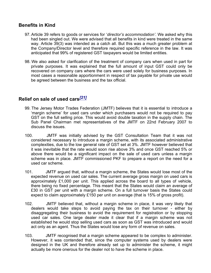#### **Benefits in Kind**

- 97. Article 39 refers to goods or services for '*director's accommodation'*. We asked why this had been singled out. We were advised that all benefits in kind were treated in the same way. Article 39(3) was intended as a catch all. But this was a much greater problem at the Company/Director level and therefore required specific reference in the law. It was anticipated that 99% of registered GST taxpayers would be limited entities.
- 98. We also asked for clarification of the treatment of company cars when used in part for private purposes. It was explained that the full amount of input GST could only be recovered on company cars where the cars were used solely for business purposes. In most cases a reasonable apportionment in respect of tax payable for private use would be agreed between the business and the tax official.

#### **Relief on sale of used cars***[21]*

- 99. The Jersey Motor Trades Federation (JMTF) believes that it is essential to introduce a 'margin scheme' for used cars under which purchasers would not be required to pay GST on the full selling price. This would avoid double taxation in the supply chain. The Sub Panel Chairman met representatives of the JMTF on 22nd February 2007 to discuss the issues.
- 100. JMTF was initially advised by the GST Consultation Team that it was not considered necessary to introduce a margin scheme, with its associated administrative complexities, due to the low general rate of GST set at 3%. JMTF however believed that it was inevitable that the rate would soon rise above 3% and once GST reached 5% or above there would be a significant impact on the sale of used cars unless a margin scheme was in place. JMTF commissioned PKF to prepare a report on the need for a used car scheme.
- 101. JMTF argued that, without a margin scheme, the States would lose most of the expected revenue on used car sales. The current average gross margin on used cars is approximately £1,000 per unit. This applied across the board to all types of vehicle, there being no fixed percentage. This meant that the States would claim an average of £30 in GST per unit with a margin scheme. On a full turnover basis the States could expect to claim approximately £150 per unit on average (that is 15% of gross profit).
- 102. JMTF believed that, without a margin scheme in place, it was very likely that dealers would take steps to avoid paying the tax on their turnover - either by disaggregating their business to avoid the requirement for registration or by stopping used car sales. One large dealer made it clear that if a margin scheme was not established he would stop selling used cars as soon as GST was introduced and would act only as an agent. Thus the States would lose any form of revenue on sales.
- 103. JMTF recognised that a margin scheme appeared to be complex to administer. However, it was contended that, since the computer systems used by dealers were designed in the UK and therefore already set up to administer the scheme, it might actually be more onerous for the dealer not to have the scheme in place.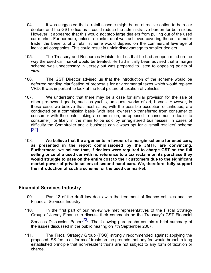- 104. It was suggested that a retail scheme might be an attractive option to both car dealers and the GST office as it could reduce the administrative burden for both sides. However, it appeared that this would not stop large dealers from pulling out of the used car market. Furthermore, unless a blanket deal was achieved covering the entire motor trade, the benefits of a retail scheme would depend on the commercial leverage of individual companies. This could result in unfair disadvantage to smaller dealers.
- 105. The Treasury and Resources Minister told us that he had an open mind on the way the used car market would be treated. He had initially been advised that a margin scheme was unnecessary in Jersey but was prepared to listen to opposing points of view.
- 106. The GST Director advised us that the introduction of the scheme would be deferred pending clarification of proposals for environmental taxes which would replace VRD. It was important to look at the total picture of taxation of vehicles.
- 107. We understand that there may be a case for similar provision for the sale of other pre-owned goods, such as yachts, antiques, works of art, horses. However, in these case, we believe that most sales, with the possible exception of antiques, are conducted on a commission basis (with legal ownership transferred from consumer to consumer with the dealer taking a commission, as opposed to consumer to dealer to consumer), or likely in the main to be sold by unregistered businesses. In cases of difficulty the Comptroller and a business can always opt for a 'small retailers' scheme [22] .
- 108. **We believe that the arguments in favour of a margin scheme for used cars, as presented in the report commissioned by the JMTF, are convincing. Furthermore, we believe that, if dealers were required to charge GST on the full selling price of a used car with no reference to a tax reclaim on its purchase they would struggle to pass on the entire cost to their customers due to the significant market power of private sellers of second hand cars. We, therefore, fully support the introduction of such a scheme for the used car market.**

#### **Financial Services Industry**

- 109. Part 12 of the draft law deals with the treatment of finance vehicles and the Financial Services Industry.
- 110. In the first part of our review we met representatives of the Fiscal Strategy Group of Jersey Finance to discuss their comments on the Treasury's GST Financial Services Discussion Paper<sup>[23]</sup>. The following paragraphs contain a brief summary of the issues discussed in the public hearing on 7th September 2007.
- 111. The Fiscal Strategy Group (FSG) strongly recommended against applying the proposed ISS fee to all forms of trusts on the grounds that any fee would breach a long established principle that non-resident trusts are not subject to any form of taxation or charge.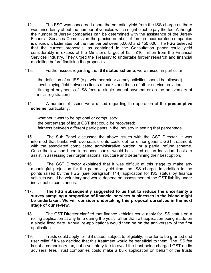- 112. The FSG was concerned about the potential yield from the ISS charge as there was uncertainty about the number of vehicles which might elect to pay the fee. Although the number of Jersey companies can be determined with the assistance of the Jersey Financial Services Commission the precise number of foreign incorporated companies is unknown. Estimates put the number between 50,000 and 150,000. The FSG believed that the current proposals, as contained in the Consultation paper could yield considerably in excess of the Minister's target of £5 - £10 million from the Financial Services Industry. They urged the Treasury to undertake further research and financial modelling before finalising the proposals.
- 113. Further issues regarding the **ISS status scheme**, were raised, in particular:

 the definition of an ISS (e.g. whether minor Jersey activities should be allowed) level playing field between clients of banks and those of other service providers; timing of payments of ISS fees (a single annual payment or on the anniversary of initial registration)

114. A number of issues were raised regarding the operation of the **presumptive scheme**, particularly:

 whether it was to be optional or compulsory; the percentage of input GST that could be recovered; fairness between different participants in the industry in setting that percentage.

- 115. The Sub Panel discussed the above issues with the GST Director. It was informed that banks with overseas clients could opt for either generic GST treatment, with the associated complicated administrative burden, or a partial refund scheme. Once the law had been introduced banks would be visited on an individual basis to assist in assessing their organisational structure and determining their best option.
- 116. The GST Director explained that it was difficult at this stage to make any meaningful projection for the potential yield from the ISS charge. In addition to the points raised by the FSG (see paragraph 114) application for ISS status by finance vehicles would be voluntary and would depend on assessment of the GST liability under individual circumstances.
- 117. **The FSG subsequently suggested to us that to reduce the uncertainty a survey sampling a proportion of financial services businesses in the Island might be undertaken. We will consider undertaking this proposal ourselves in the next stage of our review**.
- 118. The GST Director clarified that finance vehicles could apply for ISS status on a rolling application at any time during the year, rather than all application being made on a single fixed date. Annual re-applications would then be on the anniversary of the first application.
- 119. Trusts could apply for ISS status, subject to eligibility, in order to be granted end user relief if it was decided that this treatment would be beneficial to them. The ISS fee is not a compulsory tax, but a voluntary fee to avoid the trust being charged GST on its advisers' fees Trust companies could make a bulk application on behalf of the trusts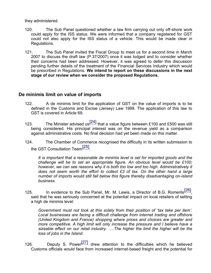they administered.

- 120. The Sub Panel questioned whether a law firm carrying out only off-shore work could apply for the ISS status. We were informed that a company registered for GST could not also apply for the ISS status of a vehicle. This would be made clear in Regulations.
- 121. The Sub Panel invited the Fiscal Group to meet us for a second time in March 2007 to discuss the draft law (P.37/2007) once it was lodged and to consider whether their concerns had been addressed. However, it was agreed to defer this discussion pending further details of the treatment of the Financial Services Industry which would be prescribed in Regulations. **We intend to report on these discussions in the next stage of our review when we consider the proposed Regulations.**

#### **De minimis limit on value of imports**

- 122. A de minimis limit for the application of GST on the value of imports is to be defined in the Customs and Excise (Jersey) Law 1999. The application of this law to GST is covered in Article 69.
- 123. The Minister advised us[24] that a value figure between £100 and £500 was still being considered. His principal interest was on the revenue yield as a comparison against administrative costs. No final decision had yet been made on this matter.
- 124. The Chamber of Commerce recognised the difficulty in its written submission to the GST Consultation Team<sup>[25]</sup>:

*It is important that a reasonable de minimis level is set for imported goods and the challenge will be to set an appropriate figure. An obvious level would be £100; however, we can see reasons why it is both too low and too high. Administratively it does not seem worth the effort to collect £3 of tax. On the other hand a large number of imports would still fall below this figure thereby disadvantaging on-island business.*

125. In evidence to the Sub Panel, Mr. M. Lewis, a Director of B.G. Romerils [26], said that he was seriously concerned at the potential impact on local retailers of setting a high de minimis level:

*Government must not look at this solely from their position of 'tax take per item'. Local businesses are facing a difficult challenge from internet trading and offshore (United Kingdom and France) shopping where prices and choices are greater and more competitive. A high limit will only increase the pressure and I believe have a sizeable effect on our retail industry. ….The higher the limit the higher will be the loss of jobs in the Island.*

126. Deputy S. Power[27] drew attention to the difficulties which he believed Customs officials would face from increased internet-based freight and the potential for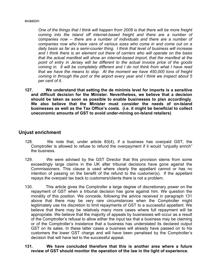#### evasion:

*One of the things that I think will happen from 2008 is that there will be more freight coming into the Island off internet-based freight and there are a number of companies now -- there are a number of individuals and there are a number of companies now who have vans of various sizes who come in and come out on a daily basis as far as a semi-courier thing. I think that level of business will increase and I think there is an element out there of carriers who will operate on the basis that the actual manifest will show an internet-based import, that the manifest at the point of entry in Jersey will be different to the actual invoice price of the goods coming in. It will be completely different and I do not think from what I have read that we have the means to stop. At the moment we have 450,000 tons of freight coming in through the port or the airport every year and I think we inspect about 5 per cent of it.*

**127. We understand that setting the de minimis level for imports is a sensitive and difficult decision for the Minister. Nevertheless, we believe that a decision should be taken as soon as possible to enable businesses to plan accordingly**. **We also believe that the Minister must consider the needs of on-Island businesses as well as the Tax Office's costs. (i.e. it might be beneficial to collect uneconomic amounts of GST to avoid under-mining on-Island retailers)**

#### **Unjust enrichment**

- 128. We note that, under article 83(4), if a business has overpaid GST, the Comptroller is allowed to refuse to refund the overpayment if it would "unjustly enrich" the business.
- 129. We were advised by the GST Director that this provision stems from some exceedingly large claims in the UK after tribunal decisions have gone against the Commissioners. This clause is used where clearly the appellant cannot or has no intention of passing on the benefit of the refund to the customer(s). If the appellant repays the overpaid tax back to customers/clients there is not a problem.
- 130. This article gives the Comptroller a large degree of discretionary power on the repayment of GST when a tribunal decision has gone against him. We question the morality of this position. We concede, following the advice received in paragraph 131 above that there may be very rare circumstances when the Comptroller might legitimately use his discretion to limit repayments of GST to a successful appellant. We believe that there may be relatively many more cases where full repayment will be appropriate. We believe that the majority of appeals by businesses will occur as a result of the Comptroller's refusal to allow either the input tax that a business may be claiming or of the Comptroller's insistence that a business has understated its declared output GST on its sales. In these latter cases a business will already have passed on to his customers the lower GST charge and will have been penalised by the Comptroller's decision that will have led to the successful appeal.

#### **131. We have concluded therefore that this is another area where a future review of GST should monitor the operation of the law in the light of experience.**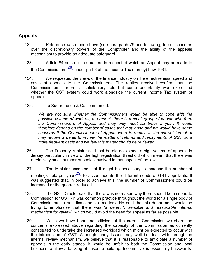#### **Appeals**

- 132. Reference was made above (see paragraph 79 and following) to our concerns over the discretionary powers of the Comptroller and the ability of the appeals mechanism to provide an adequate safeguard.
- 133. Article 84 sets out the matters in respect of which an Appeal may be made to the Commissioners<sup>[28]</sup> under part 6 of the Income Tax (Jersey) Law 1961.
- 134. We requested the views of the finance industry on the effectiveness, speed and costs of appeals to the Commissioners. The replies received confirm that the Commissioners perform a satisfactory role but some uncertainty was expressed whether the GST system could work alongside the current Income Tax system of appeals
- 135. Le Sueur Ireson & Co commented:

*We are not sure whether the Commissioners would be able to cope with the possible volume of work as, at present, there is a small group of people who form the Commissioners of Appeal and they only meet six times a year. It would therefore depend on the number of cases that may arise and we would have some concerns if the Commissioners of Appeal were to remain in the current format. It may require a panel to review the matter of returns and repayments of GST on a more frequent basis and we feel this matter should be reviewed.*

- 136. The Treasury Minister said that he did not expect a high volume of appeals in Jersey particularly in view of the high registration threshold which meant that there was a relatively small number of bodies involved in that aspect of the law.
- 137. The Minister accepted that it might be necessary to increase the number of meetings held per year<sup>[29]</sup> to accommodate the different needs of GST appellants. It was suggested that, in order to achieve this, the number of Commissioners could be increased or the quorum reduced.
- 138. The GST Director said that there was no reason why there should be a separate Commission for GST - it was common practice throughout the world for a single body of Commissioners to adjudicate on tax matters. He said that his department would be trying to emphasise that there was '*a perfectly sensible and reasonable internal mechanism for review*', which would avoid the need for appeal as far as possible.
- 139. While we have heard no criticism of the current Commission we share the concerns expressed above regarding the capacity of the Commission as currently constituted to undertake the increased workload which might be expected to occur with the introduction of GST. Although many issues may well be dealt with through an internal review mechanism, we believe that it is reasonable to anticipate a number of appeals in the early stages. It would be unfair to both the Commission and local business to allow a backlog of cases to build up. Income Tax is essentially backwards-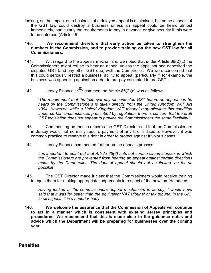- looking, so the impact on a business of a delayed appeal is minimised, but some aspects of the GST law could destroy a business unless an appeal could be heard almost immediately, particularly the requirements to pay in advance or give security if this were to be enforced (Article 45).
- 140. **We recommend therefore that early action be taken to strengthen the numbers in the Commission, and to provide training on the new GST law for all Commissioners.**
- 141. With regard to the appeals mechanism, we noted that under Article  $86(2)(c)$  the Commissioners might refuse to hear an appeal unless the appellant had deposited the disputed GST (and any other GST due) with the Comptroller. We were concerned that this could seriously restrict a business' ability to appeal (particularly if, for example, the business was appealing against an order to pre-pay estimated future GST).
- 142. Jersey Finance's<sup>[30]</sup> comment on Article 86(2)(c) was as follows:

'*The requirement that the taxpayer pay all contested GST before an appeal can be heard by the Commissioners is taken directly from the United Kingdom VAT Act 1994. However, while a United Kingdom VAT tribunal may alleviate this condition under certain circumstances prescribed by regulation, there is concern that the draft GST legislation does not appear to provide the Commissioners the same flexibility.*'

- 143. Commenting on these concerns the GST Director said that the Commissioners in Jersey would not normally require payment of any tax in dispute. However, it was common practice to reserve this right in order to protect against frivolous cases.
- 144. Jersey Finance commented further on the appeals process:

*It is important to point out that Article 86(3) sets out certain circumstances in which the Commissioners are prevented from hearing an appeal against certain directions made by the Comptroller. The right of appeal should not be limited, as far as possible.*

145. The GST Director made it clear that the Commissioners would receive training to equip them for making appropriate judgements in respect of the new tax. He added:

*Having looked at the commissioners appeal mechanism in Jersey, I would have said that it was far better than the equivalent VAT tribunal or tax tribunal in the UK. In all aspects it is a superior body.*

**146. We welcome the assurance that the Commission of Appeals will continue to act in a manner which is consistent with existing Jersey principles and procedures. We recommend that this is made clear in the guidance notes and advice which the Department will be preparing for businesses over the coming year.**

**Penalties**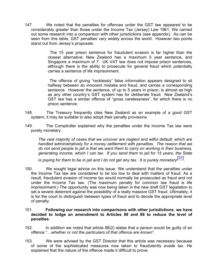147. We noted that the penalties for offences under the GST law appeared to be considerably greater than those under the Income Tax (Jersey) Law 1961. We carried out some research into a comparison with other jurisdictions (see appendix). .As can be seen from this table, GST penalties vary widely across the world. However two points stand out from Jersey's proposals:

> The 15 year prison sentence for fraudulent evasion is far higher than the closest alternative; New Zealand has a maximum 5 year sentence, and Singapore a maximum of 7. UK VAT law does not impose prison sentences, although there is the ability to prosecute for general fraud which potentially carries a sentence of life imprisonment.

> The offence of giving "recklessly" false information appears designed to sit halfway between an innocent mistake and fraud, and carries a corresponding sentence. However the sentence, of up to 5 years in prison, is almost as high as any other country's GST system has for *deliberate* fraud. New Zealand's GST law has a similar offence of "gross carelessness", for which there is no prison sentence.

- 148. The Treasury frequently cites New Zealand as an example of a good GST system; it may be suitable to also adopt their penalty provisions
- 149. The Comptroller explained why the penalties under the Income Tax law were purely monetary:

*The vast majority of cases that we uncover are neglect and wilful default, which are handled administratively for a money settlement with penalties. The reason that we do not send people to jail is that we want them to carry on working in their business, generating income, which I can tax. If you send them to jail for 15 years, the State*

*is paying for them to be in jail and I do not get any tax. It is purely monetary[31] .*

- 150. We sought legal advice on this issue. We understand that the penalties under the Income Tax law are considered to be too low to deal with matters of fraud. As a result, fraudulent evasion of income tax would normally be prosecuted as fraud and not under the Income Tax law. (The maximum penalty for common law fraud is life imprisonment.) The opportunity was now being taken in the new draft GST legislation to set a severe deterrent against the possibility of a really massive GST fraud. Ultimately, it is for the court to distinguish between types of fraud and to decide the appropriate level of penalty.
- 151. **Following our research into comparisons with other jurisdictions**, **we have decided to lodge an amendment to Articles 88 and 89 to reduce the level of penalties**.
- 152. In addition we noted that article 88(2) states that a person would be guilty of an offence "…*whether or not the particulars of that offence are known*".
- 153. We were advised by the GST Director that this article was necessary because of some of the sophisticated measures now taken to fraudulently evade tax. He explained that the nature of the offence made it difficult to prove.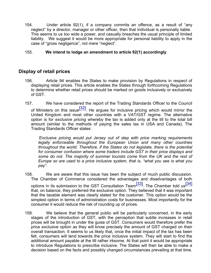154. Under article 92(1), if a company commits an offence, as a result of "any neglect" by a director, manager or other officer, then that individual is personally liable. This seems to us too wide a power, and casually breaches the usual principle of limited liability. We suggest it would be more appropriate for personal liability to apply in the case of "gross negligence", not mere "neglect".

#### 155. **We intend to lodge an amendment to article 92(1) accordingly**.

#### **Display of retail prices**

- 156. Article 94 enables the States to make provision by Regulations in respect of displaying retail prices. This article enables the States through forthcoming Regulations to determine whether retail prices should be marked on goods inclusively or exclusively of GST.
- 157. We have considered the report of the Trading Standards Officer to the Council of Ministers on this issue<sup>[32]</sup>. He argues for inclusive pricing which would mirror the

United Kingdom and most other countries with a VAT/GST regime. The alternative option is for *exclusive pricing* whereby the tax is added only at the till to the total bill amount (similar to the methods of paying the sales tax in USA and Canada). The Trading Standards Officer states:

*'Exclusive pricing would put Jersey out of step with price marking requirements legally enforceable throughout the European Union and many other countries throughout the world. Therefore, if the States do not legislate, there is the potential for consumer confusion where some traders include GST in their price displays and some do not. The majority of summer tourists come from the UK and the rest of Europe so are used to a price inclusive system, that is, "what you see is what you pay".*

- 158. We are aware that this issue has been the subject of much public discussion. The Chamber of Commerce considered the advantages and disadvantages of both options in its submission to the GST Consultation Team $\frac{[33]}{[34]}$ . The Chamber told us $\frac{[34]}{[34]}$ that, on balance, they preferred the exclusive option. They believed that it was important that the taxable element was clearly stated for the customer. This option would be the simplest option in terms of administration costs for businesses. Most importantly for the consumer it would reduce the risk of rounding up of prices.
- 159. We believe that the general public will be particularly concerned, in the early stages of the introduction of GST, with the perception that subtle increases in retail prices will be brought in under the guise of GST. Consumers would therefore prefer the price *exclusive* option as they will know precisely the amount of GST charged on their overall transaction. It seems to us likely that, once the initial impact of the tax has been felt, consumers will tend towards the price inclusive system. They will start to find the additional amount payable at the till rather irksome. At that point it would be appropriate to introduce Regulations to prescribe inclusive. The States will then be able to make a decision based on the facts and possibly changed circumstances prevailing at that time.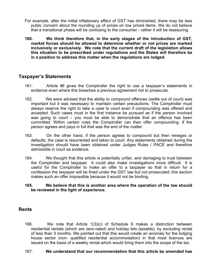- For example, after the initial inflationary effect of GST has diminished, there may be less public concern about the rounding up of prices on low priced items. We do not believe that a transitional phase will be confusing to the consumer - rather it will be reassuring.
- **160. We think therefore that, in the early stages of the introduction of GST, market forces should be allowed to determine whether or not prices are marked inclusively or exclusively. We note that the current draft of the legislation allows this situation to be prescribed under regulations and the States will therefore be in a position to address this matter when the regulations are lodged.**

#### **Taxpayer's Statements**

- 161. Article 96 gives the Comptroller the right to use a taxpayer's statements in evidence even where this breaches a previous agreement not to prosecute.
- 162. We were advised that the ability to compound offences (settle out of court) was important but it was necessary to maintain certain precautions. The Comptroller must always reserve the right to take a case to court even if compounding was offered and accepted. Such cases must in the first instance be pursued as if the person involved was going to court – you must be able to demonstrate that an offence has been committed. Within certain rules the Comptroller can then offer compounding. If the person agrees and pays in full that was the end of the matter.
- 163. On the other hand, if the person agrees to compound but then reneges or defaults, the case is resurrected and taken to court. Any statements obtained during the investigation should have been obtained under Judges Rules / PACE and therefore admissible in court as evidence.
- 164. We thought that this article is potentially unfair, and damaging to trust between the Comptroller and taxpayer. It could also make investigations more difficult. It is useful for the Comptroller to make an offer to a taxpayer so that in return for a confession the taxpayer will be fined under the GST law but not prosecuted; this section makes such an offer impossible because it would not be binding.

#### **165. We believe that this is another area where the operation of the law should be reviewed in the light of experience.**

#### **Rents**

166. We note that Article 1(3)(c) of Schedule 6 makes a distinction between residential rentals (which are zero-rated) and holiday lets (taxable), by excluding rental of less than 3 months. We pointed out that this would create an anomaly for the lodging house sector (non- qualified residential accommodation) in that most licences are issued on the basis of a weekly rental which would bring them into the scope of the tax.

#### 167. **We understand that our recommendation that this article be amended has**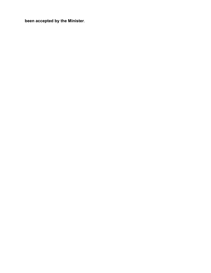**been accepted by the Minister**.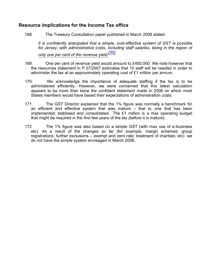#### **Resource implications for the Income Tax office**

168. The Treasury Consultation paper published in March 2006 stated:

*It is confidently anticipated that a simple, cost-effective system of GST is possible for Jersey, with administrative costs, including staff salaries, being in the region of only one per cent of the revenue yield.[35]*

- 169. One per cent of revenue yield would amount to £450,000. We note however that the resources statement in P.37/2007 estimates that 10 staff will be needed in order to administer the tax at an approximately operating cost of £1 million per annum.
- 170. We acknowledge the importance of adequate staffing if the tax is to be administered efficiently. However, we were concerned that this latest calculation appears to be more than twice the confident statement made in 2006 on which most States members would have based their expectations of administration costs.
- 171. The GST Director explained that the 1% figure was normally a benchmark for an efficient and effective system that was mature – that is, one that has been implemented; stabilised and consolidated. The £1 million is a max operating budget that might be required in the first few years of the tax (before it is mature).
- 172. The 1% figure was also based on a simple GST (with max use of e-business etc). As a result of the changes so far (for example, margin schemes; group registrations; further exclusions – exempt and zero rate; treatment of charities; etc) we do not have the simple system envisaged in March 2006.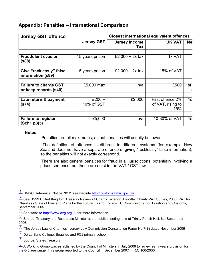#### **Appendix: Penalties – International Comparison**

| <b>Jersey GST offence</b>                             | <b>Closest international equivalent offences</b> |                             |                                              |           |  |
|-------------------------------------------------------|--------------------------------------------------|-----------------------------|----------------------------------------------|-----------|--|
|                                                       | <b>Jersey GST</b>                                | <b>Jersey Income</b><br>Tax | <b>UK VAT</b>                                | <b>Ne</b> |  |
| <b>Fraudulent evasion</b><br>(s88)                    | 15 years prison                                  | £2,000 + 2x tax             | 1x VAT                                       |           |  |
| Give "recklessly" false<br>information (s89)          | 5 years prison                                   | £2,000 + 2x tax             | 15% of VAT                                   |           |  |
| <b>Failure to charge GST</b><br>or keep records (s40) | £5,000 max                                       | n/a                         | £500                                         | 1st       |  |
| Late return & payment<br>(s74)                        | £200 +<br>10% of GST                             | £2,000                      | First offence 2%<br>of VAT, rising to<br>15% | 1s        |  |
| <b>Failure to register</b><br>(Sch1 p3(5)             | £5,000                                           | n/a                         | 10-30% of VAT                                | 1s        |  |

#### **Notes**:

Penalties are all maximums; actual penalties will usually be lower.

 The definition of offences is different in different systems (for example New Zealand does not have a separate offence of giving "recklessly" false information), so the penalties will not exactly correspond.

 There are also general penalties for fraud in all jurisdictions, potentially involving a prison sentence, but these are outside the VAT / GST law.

[7] Source: States Treasury

<sup>[1]</sup> HMRC Reference: Notice 701/1 see website <http://customs.hmrc.gov.uk/>

<sup>[2]</sup> See; 1999 United Kingdom Treasury Review of Charity Taxation; Deloitte: Charity VAT Survey, 2006. VAT for Charities - State of Play and Plans for the Future, Laszlo Kovacs EU Commissioner for Taxation and Customs, September 2005

<sup>[3]</sup> See website <http://www.ctrg.org.uk>for more information.

<sup>[4]</sup> Source: Treasury and Resources Minister at the public meeting held at Trinity Parish Hall, 6th September 2006.

<sup>[5]</sup> 'The Jersey Law of Charities', Jersey Law Commission Consultation Paper No.7(B) dated November 2006

<sup>[6]</sup> De La Salle College, Beaulieu and FCJ primary school

<sup>[8]</sup> A Working Group was established by the Council of Ministers in July 2006 to review early years provision for the 0-5 age range. This group reported to the Council in December 2007 in R.C.100/2006.